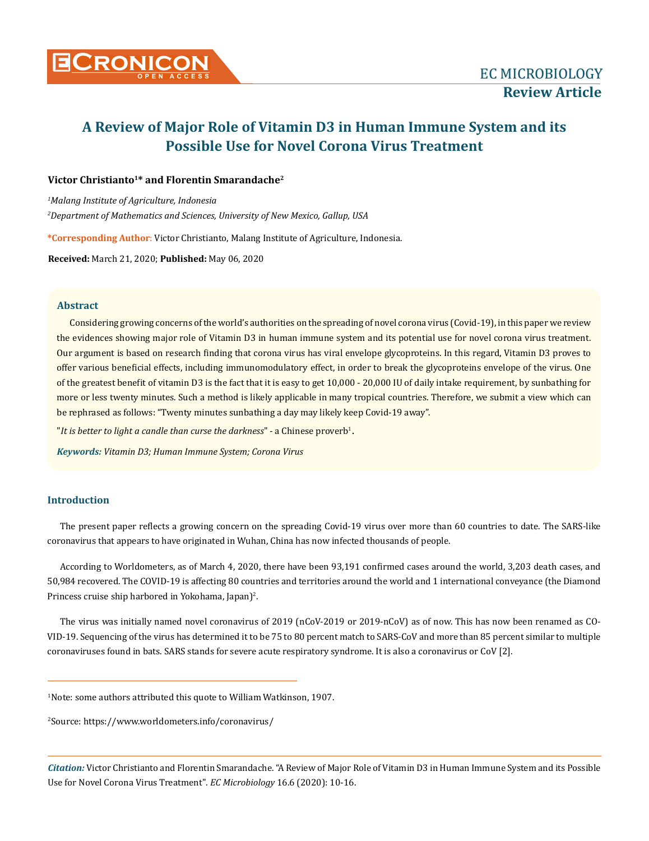

# **A Review of Major Role of Vitamin D3 in Human Immune System and its Possible Use for Novel Corona Virus Treatment**

# **Victor Christianto1\* and Florentin Smarandache2**

*1 Malang Institute of Agriculture, Indonesia 2 Department of Mathematics and Sciences, University of New Mexico, Gallup, USA*

**\*Corresponding Author**: Victor Christianto, Malang Institute of Agriculture, Indonesia.

**Received:** March 21, 2020; **Published:** May 06, 2020

## **Abstract**

Considering growing concerns of the world's authorities on the spreading of novel corona virus (Covid-19), in this paper we review the evidences showing major role of Vitamin D3 in human immune system and its potential use for novel corona virus treatment. Our argument is based on research finding that corona virus has viral envelope glycoproteins. In this regard, Vitamin D3 proves to offer various beneficial effects, including immunomodulatory effect, in order to break the glycoproteins envelope of the virus. One of the greatest benefit of vitamin D3 is the fact that it is easy to get 10,000 - 20,000 IU of daily intake requirement, by sunbathing for more or less twenty minutes. Such a method is likely applicable in many tropical countries. Therefore, we submit a view which can be rephrased as follows: "Twenty minutes sunbathing a day may likely keep Covid-19 away".

"*It is better to light a candle than curse the darkness*" - a Chinese proverb1 .

*Keywords: Vitamin D3; Human Immune System; Corona Virus*

# **Introduction**

The present paper reflects a growing concern on the spreading Covid-19 virus over more than 60 countries to date. The SARS-like coronavirus that appears to have originated in Wuhan, China has now infected thousands of people.

According to Worldometers, as of March 4, 2020, there have been 93,191 confirmed cases around the world, 3,203 death cases, and 50,984 recovered. The COVID-19 is affecting 80 countries and territories around the world and 1 international conveyance (the Diamond Princess cruise ship harbored in Yokohama, Japan)<sup>2</sup>.

The virus was initially named novel coronavirus of 2019 (nCoV-2019 or 2019-nCoV) as of now. This has now been renamed as CO-VID-19. Sequencing of the virus has determined it to be 75 to 80 percent match to SARS-CoV and more than 85 percent similar to multiple coronaviruses found in bats. SARS stands for severe acute respiratory syndrome. It is also a coronavirus or CoV [2].

1 Note: some authors attributed this quote to William Watkinson, 1907.

2 Source: https://www.worldometers.info/coronavirus/

*Citation:* Victor Christianto and Florentin Smarandache. "A Review of Major Role of Vitamin D3 in Human Immune System and its Possible Use for Novel Corona Virus Treatment". *EC Microbiology* 16.6 (2020): 10-16.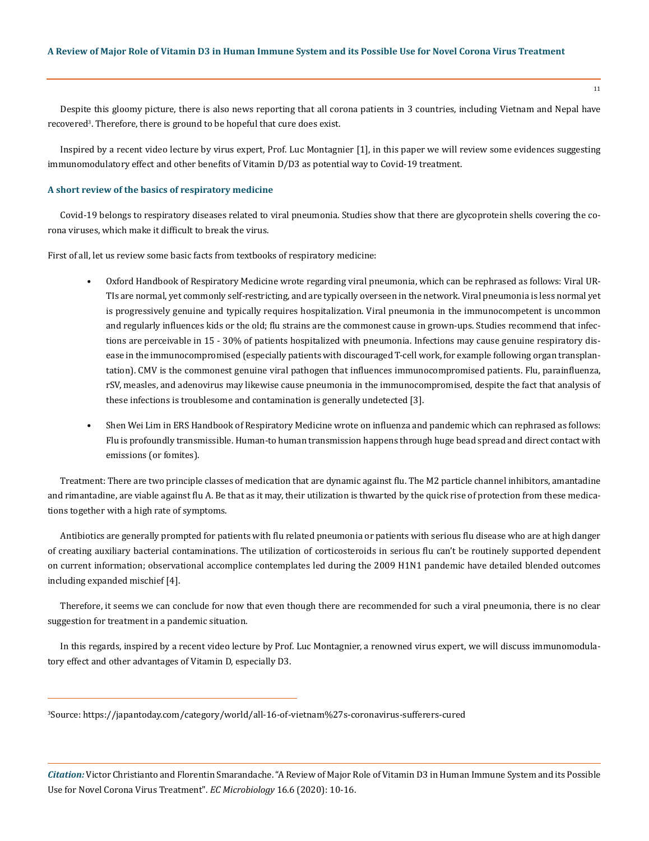Despite this gloomy picture, there is also news reporting that all corona patients in 3 countries, including Vietnam and Nepal have recovered<sup>3</sup>. Therefore, there is ground to be hopeful that cure does exist.

Inspired by a recent video lecture by virus expert, Prof. Luc Montagnier [1], in this paper we will review some evidences suggesting immunomodulatory effect and other benefits of Vitamin D/D3 as potential way to Covid-19 treatment.

#### **A short review of the basics of respiratory medicine**

Covid-19 belongs to respiratory diseases related to viral pneumonia. Studies show that there are glycoprotein shells covering the corona viruses, which make it difficult to break the virus.

First of all, let us review some basic facts from textbooks of respiratory medicine:

- Oxford Handbook of Respiratory Medicine wrote regarding viral pneumonia, which can be rephrased as follows: Viral UR-TIs are normal, yet commonly self-restricting, and are typically overseen in the network. Viral pneumonia is less normal yet is progressively genuine and typically requires hospitalization. Viral pneumonia in the immunocompetent is uncommon and regularly influences kids or the old; flu strains are the commonest cause in grown-ups. Studies recommend that infections are perceivable in 15 - 30% of patients hospitalized with pneumonia. Infections may cause genuine respiratory disease in the immunocompromised (especially patients with discouraged T-cell work, for example following organ transplantation). CMV is the commonest genuine viral pathogen that influences immunocompromised patients. Flu, parainfluenza, rSV, measles, and adenovirus may likewise cause pneumonia in the immunocompromised, despite the fact that analysis of these infections is troublesome and contamination is generally undetected [3].
- Shen Wei Lim in ERS Handbook of Respiratory Medicine wrote on influenza and pandemic which can rephrased as follows: Flu is profoundly transmissible. Human-to human transmission happens through huge bead spread and direct contact with emissions (or fomites).

Treatment: There are two principle classes of medication that are dynamic against flu. The M2 particle channel inhibitors, amantadine and rimantadine, are viable against flu A. Be that as it may, their utilization is thwarted by the quick rise of protection from these medications together with a high rate of symptoms.

Antibiotics are generally prompted for patients with flu related pneumonia or patients with serious flu disease who are at high danger of creating auxiliary bacterial contaminations. The utilization of corticosteroids in serious flu can't be routinely supported dependent on current information; observational accomplice contemplates led during the 2009 H1N1 pandemic have detailed blended outcomes including expanded mischief [4].

Therefore, it seems we can conclude for now that even though there are recommended for such a viral pneumonia, there is no clear suggestion for treatment in a pandemic situation.

In this regards, inspired by a recent video lecture by Prof. Luc Montagnier, a renowned virus expert, we will discuss immunomodulatory effect and other advantages of Vitamin D, especially D3.

3 Source: https://japantoday.com/category/world/all-16-of-vietnam%27s-coronavirus-sufferers-cured

*Citation:* Victor Christianto and Florentin Smarandache. "A Review of Major Role of Vitamin D3 in Human Immune System and its Possible Use for Novel Corona Virus Treatment". *EC Microbiology* 16.6 (2020): 10-16.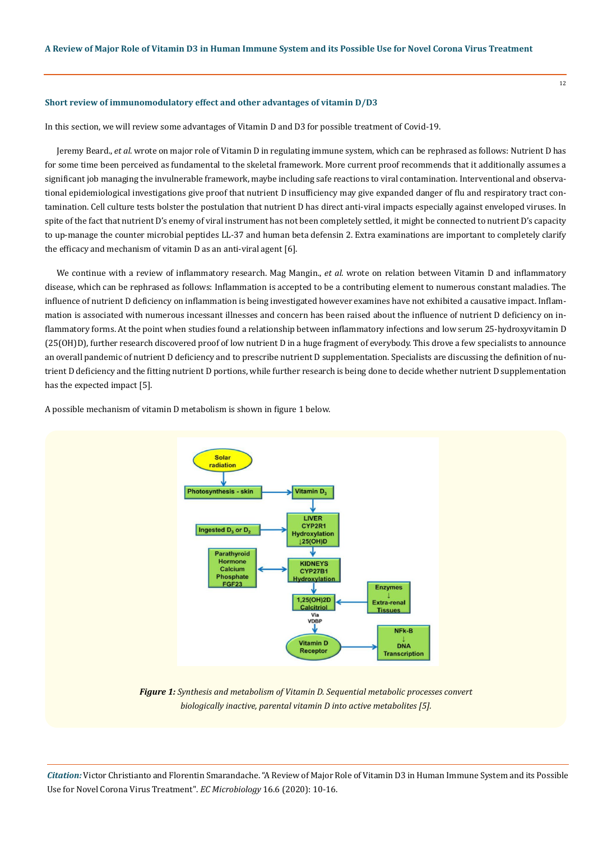#### **Short review of immunomodulatory effect and other advantages of vitamin D/D3**

In this section, we will review some advantages of Vitamin D and D3 for possible treatment of Covid-19.

Jeremy Beard., *et al*. wrote on major role of Vitamin D in regulating immune system, which can be rephrased as follows: Nutrient D has for some time been perceived as fundamental to the skeletal framework. More current proof recommends that it additionally assumes a significant job managing the invulnerable framework, maybe including safe reactions to viral contamination. Interventional and observational epidemiological investigations give proof that nutrient D insufficiency may give expanded danger of flu and respiratory tract contamination. Cell culture tests bolster the postulation that nutrient D has direct anti-viral impacts especially against enveloped viruses. In spite of the fact that nutrient D's enemy of viral instrument has not been completely settled, it might be connected to nutrient D's capacity to up-manage the counter microbial peptides LL-37 and human beta defensin 2. Extra examinations are important to completely clarify the efficacy and mechanism of vitamin D as an anti-viral agent [6].

We continue with a review of inflammatory research. Mag Mangin., *et al*. wrote on relation between Vitamin D and inflammatory disease, which can be rephrased as follows: Inflammation is accepted to be a contributing element to numerous constant maladies. The influence of nutrient D deficiency on inflammation is being investigated however examines have not exhibited a causative impact. Inflammation is associated with numerous incessant illnesses and concern has been raised about the influence of nutrient D deficiency on inflammatory forms. At the point when studies found a relationship between inflammatory infections and low serum 25-hydroxyvitamin D (25(OH)D), further research discovered proof of low nutrient D in a huge fragment of everybody. This drove a few specialists to announce an overall pandemic of nutrient D deficiency and to prescribe nutrient D supplementation. Specialists are discussing the definition of nutrient D deficiency and the fitting nutrient D portions, while further research is being done to decide whether nutrient D supplementation has the expected impact [5].

A possible mechanism of vitamin D metabolism is shown in figure 1 below.



*Figure 1: Synthesis and metabolism of Vitamin D. Sequential metabolic processes convert biologically inactive, parental vitamin D into active metabolites [5].*

*Citation:* Victor Christianto and Florentin Smarandache. "A Review of Major Role of Vitamin D3 in Human Immune System and its Possible Use for Novel Corona Virus Treatment". *EC Microbiology* 16.6 (2020): 10-16.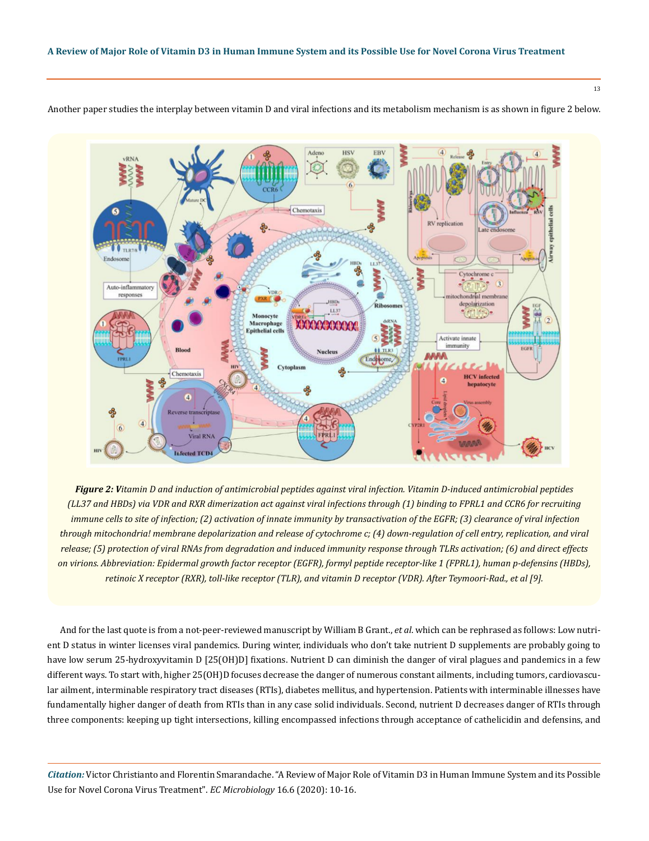

Another paper studies the interplay between vitamin D and viral infections and its metabolism mechanism is as shown in figure 2 below.

*Figure 2: Vitamin D and induction of antimicrobial peptides against viral infection. Vitamin D-induced antimicrobial peptides (LL37 and HBDs) via VDR and RXR dimerization act against viral infections through (1) binding to FPRL1 and CCR6 for recruiting immune cells to site of infection; (2) activation of innate immunity by transactivation of the EGFR; (3) clearance of viral infection through mitochondria! membrane depolarization and release of cytochrome c; (4) down-regulation of cell entry, replication, and viral release; (5) protection of viral RNAs from degradation and induced immunity response through TLRs activation; (6) and direct effects on virions. Abbreviation: Epidermal growth factor receptor (EGFR), formyl peptide receptor-like 1 (FPRL1), human p-defensins (HBDs), retinoic X receptor (RXR), toll-like receptor (TLR), and vitamin D receptor (VDR). After Teymoori-Rad., et al [9].*

And for the last quote is from a not-peer-reviewed manuscript by William B Grant., *et al*. which can be rephrased as follows: Low nutrient D status in winter licenses viral pandemics. During winter, individuals who don't take nutrient D supplements are probably going to have low serum 25-hydroxyvitamin D [25(OH)D] fixations. Nutrient D can diminish the danger of viral plagues and pandemics in a few different ways. To start with, higher 25(OH)D focuses decrease the danger of numerous constant ailments, including tumors, cardiovascular ailment, interminable respiratory tract diseases (RTIs), diabetes mellitus, and hypertension. Patients with interminable illnesses have fundamentally higher danger of death from RTIs than in any case solid individuals. Second, nutrient D decreases danger of RTIs through three components: keeping up tight intersections, killing encompassed infections through acceptance of cathelicidin and defensins, and

*Citation:* Victor Christianto and Florentin Smarandache. "A Review of Major Role of Vitamin D3 in Human Immune System and its Possible Use for Novel Corona Virus Treatment". *EC Microbiology* 16.6 (2020): 10-16.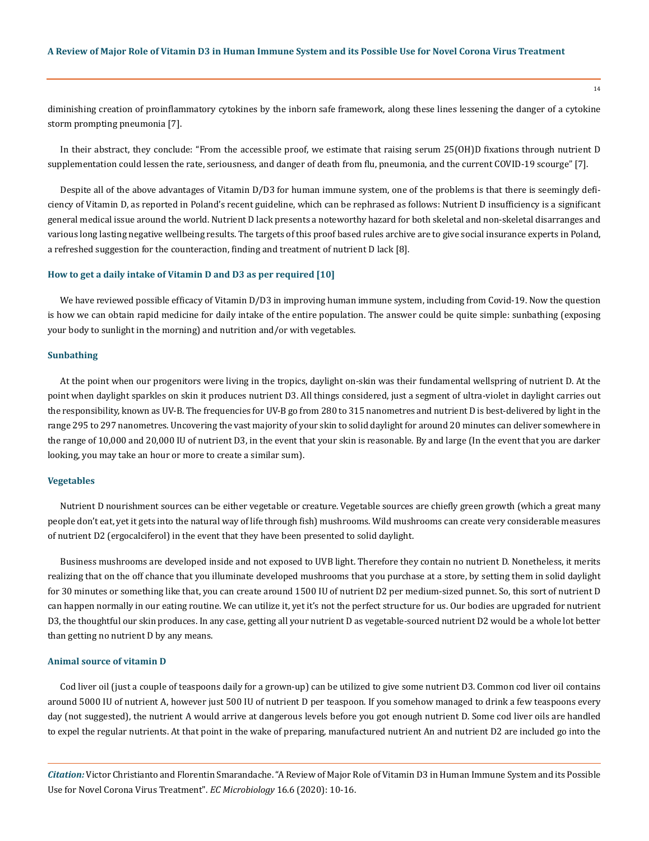diminishing creation of proinflammatory cytokines by the inborn safe framework, along these lines lessening the danger of a cytokine storm prompting pneumonia [7].

In their abstract, they conclude: "From the accessible proof, we estimate that raising serum 25(OH)D fixations through nutrient D supplementation could lessen the rate, seriousness, and danger of death from flu, pneumonia, and the current COVID-19 scourge" [7].

Despite all of the above advantages of Vitamin D/D3 for human immune system, one of the problems is that there is seemingly deficiency of Vitamin D, as reported in Poland's recent guideline, which can be rephrased as follows: Nutrient D insufficiency is a significant general medical issue around the world. Nutrient D lack presents a noteworthy hazard for both skeletal and non-skeletal disarranges and various long lasting negative wellbeing results. The targets of this proof based rules archive are to give social insurance experts in Poland, a refreshed suggestion for the counteraction, finding and treatment of nutrient D lack [8].

## **How to get a daily intake of Vitamin D and D3 as per required [10]**

We have reviewed possible efficacy of Vitamin D/D3 in improving human immune system, including from Covid-19. Now the question is how we can obtain rapid medicine for daily intake of the entire population. The answer could be quite simple: sunbathing (exposing your body to sunlight in the morning) and nutrition and/or with vegetables.

#### **Sunbathing**

At the point when our progenitors were living in the tropics, daylight on-skin was their fundamental wellspring of nutrient D. At the point when daylight sparkles on skin it produces nutrient D3. All things considered, just a segment of ultra-violet in daylight carries out the responsibility, known as UV-B. The frequencies for UV-B go from 280 to 315 nanometres and nutrient D is best-delivered by light in the range 295 to 297 nanometres. Uncovering the vast majority of your skin to solid daylight for around 20 minutes can deliver somewhere in the range of 10,000 and 20,000 IU of nutrient D3, in the event that your skin is reasonable. By and large (In the event that you are darker looking, you may take an hour or more to create a similar sum).

#### **Vegetables**

Nutrient D nourishment sources can be either vegetable or creature. Vegetable sources are chiefly green growth (which a great many people don't eat, yet it gets into the natural way of life through fish) mushrooms. Wild mushrooms can create very considerable measures of nutrient D2 (ergocalciferol) in the event that they have been presented to solid daylight.

Business mushrooms are developed inside and not exposed to UVB light. Therefore they contain no nutrient D. Nonetheless, it merits realizing that on the off chance that you illuminate developed mushrooms that you purchase at a store, by setting them in solid daylight for 30 minutes or something like that, you can create around 1500 IU of nutrient D2 per medium-sized punnet. So, this sort of nutrient D can happen normally in our eating routine. We can utilize it, yet it's not the perfect structure for us. Our bodies are upgraded for nutrient D3, the thoughtful our skin produces. In any case, getting all your nutrient D as vegetable-sourced nutrient D2 would be a whole lot better than getting no nutrient D by any means.

#### **Animal source of vitamin D**

Cod liver oil (just a couple of teaspoons daily for a grown-up) can be utilized to give some nutrient D3. Common cod liver oil contains around 5000 IU of nutrient A, however just 500 IU of nutrient D per teaspoon. If you somehow managed to drink a few teaspoons every day (not suggested), the nutrient A would arrive at dangerous levels before you got enough nutrient D. Some cod liver oils are handled to expel the regular nutrients. At that point in the wake of preparing, manufactured nutrient An and nutrient D2 are included go into the

*Citation:* Victor Christianto and Florentin Smarandache. "A Review of Major Role of Vitamin D3 in Human Immune System and its Possible Use for Novel Corona Virus Treatment". *EC Microbiology* 16.6 (2020): 10-16.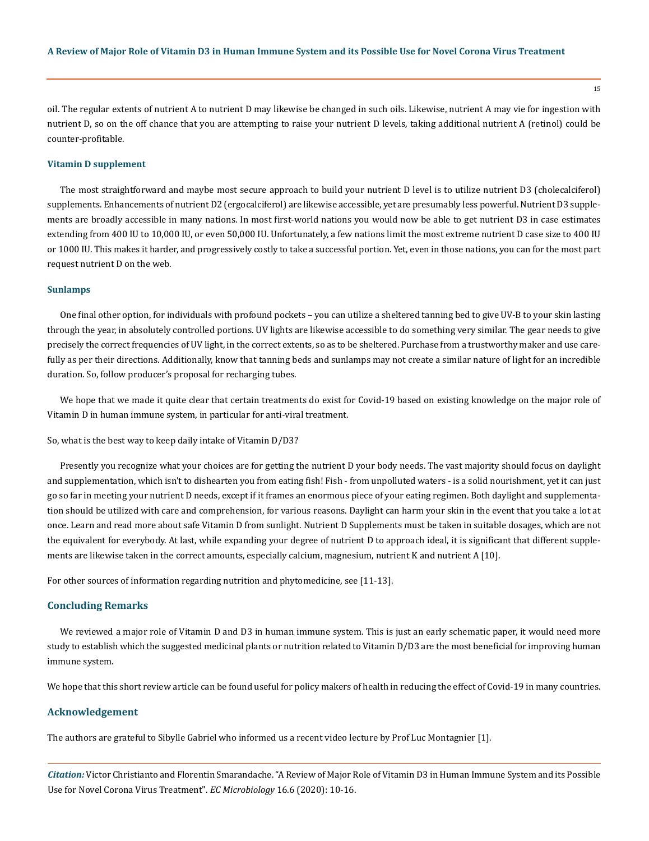oil. The regular extents of nutrient A to nutrient D may likewise be changed in such oils. Likewise, nutrient A may vie for ingestion with nutrient D, so on the off chance that you are attempting to raise your nutrient D levels, taking additional nutrient A (retinol) could be counter-profitable.

#### **Vitamin D supplement**

The most straightforward and maybe most secure approach to build your nutrient D level is to utilize nutrient D3 (cholecalciferol) supplements. Enhancements of nutrient D2 (ergocalciferol) are likewise accessible, yet are presumably less powerful. Nutrient D3 supplements are broadly accessible in many nations. In most first-world nations you would now be able to get nutrient D3 in case estimates extending from 400 IU to 10,000 IU, or even 50,000 IU. Unfortunately, a few nations limit the most extreme nutrient D case size to 400 IU or 1000 IU. This makes it harder, and progressively costly to take a successful portion. Yet, even in those nations, you can for the most part request nutrient D on the web.

#### **Sunlamps**

One final other option, for individuals with profound pockets – you can utilize a sheltered tanning bed to give UV-B to your skin lasting through the year, in absolutely controlled portions. UV lights are likewise accessible to do something very similar. The gear needs to give precisely the correct frequencies of UV light, in the correct extents, so as to be sheltered. Purchase from a trustworthy maker and use carefully as per their directions. Additionally, know that tanning beds and sunlamps may not create a similar nature of light for an incredible duration. So, follow producer's proposal for recharging tubes.

We hope that we made it quite clear that certain treatments do exist for Covid-19 based on existing knowledge on the major role of Vitamin D in human immune system, in particular for anti-viral treatment.

So, what is the best way to keep daily intake of Vitamin D/D3?

Presently you recognize what your choices are for getting the nutrient D your body needs. The vast majority should focus on daylight and supplementation, which isn't to dishearten you from eating fish! Fish - from unpolluted waters - is a solid nourishment, yet it can just go so far in meeting your nutrient D needs, except if it frames an enormous piece of your eating regimen. Both daylight and supplementation should be utilized with care and comprehension, for various reasons. Daylight can harm your skin in the event that you take a lot at once. Learn and read more about safe Vitamin D from sunlight. Nutrient D Supplements must be taken in suitable dosages, which are not the equivalent for everybody. At last, while expanding your degree of nutrient D to approach ideal, it is significant that different supplements are likewise taken in the correct amounts, especially calcium, magnesium, nutrient K and nutrient A [10].

For other sources of information regarding nutrition and phytomedicine, see [11-13].

#### **Concluding Remarks**

We reviewed a major role of Vitamin D and D3 in human immune system. This is just an early schematic paper, it would need more study to establish which the suggested medicinal plants or nutrition related to Vitamin D/D3 are the most beneficial for improving human immune system.

We hope that this short review article can be found useful for policy makers of health in reducing the effect of Covid-19 in many countries.

#### **Acknowledgement**

The authors are grateful to Sibylle Gabriel who informed us a recent video lecture by Prof Luc Montagnier [1].

*Citation:* Victor Christianto and Florentin Smarandache. "A Review of Major Role of Vitamin D3 in Human Immune System and its Possible Use for Novel Corona Virus Treatment". *EC Microbiology* 16.6 (2020): 10-16.